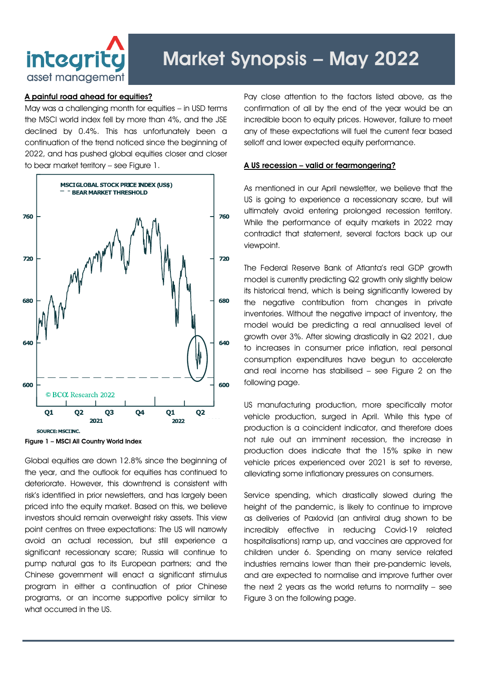

# Market Synopsis – May 2022

## A painful road ahead for equities?

May was a challenging month for equities – in USD terms the MSCI world index fell by more than 4%, and the JSE declined by 0.4%. This has unfortunately been a continuation of the trend noticed since the beginning of 2022, and has pushed global equities closer and closer to bear market territory – see Figure 1.



Figure 1 – MSCI All Country World Index

Global equities are down 12.8% since the beginning of the year, and the outlook for equities has continued to deteriorate. However, this downtrend is consistent with risk's identified in prior newsletters, and has largely been priced into the equity market. Based on this, we believe investors should remain overweight risky assets. This view point centres on three expectations: The US will narrowly avoid an actual recession, but still experience a significant recessionary scare; Russia will continue to pump natural gas to its European partners; and the Chinese government will enact a significant stimulus program in either a continuation of prior Chinese programs, or an income supportive policy similar to what occurred in the US.

Pay close attention to the factors listed above, as the confirmation of all by the end of the year would be an incredible boon to equity prices. However, failure to meet any of these expectations will fuel the current fear based selloff and lower expected equity performance.

## A US recession – valid or fearmongering?

As mentioned in our April newsletter, we believe that the US is going to experience a recessionary scare, but will ultimately avoid entering prolonged recession territory. While the performance of equity markets in 2022 may contradict that statement, several factors back up our viewpoint.

The Federal Reserve Bank of Atlanta's real GDP growth model is currently predicting Q2 growth only slightly below its historical trend, which is being significantly lowered by the negative contribution from changes in private inventories. Without the negative impact of inventory, the model would be predicting a real annualised level of growth over 3%. After slowing drastically in Q2 2021, due to increases in consumer price inflation, real personal consumption expenditures have begun to accelerate and real income has stabilised – see Figure 2 on the following page.

US manufacturing production, more specifically motor vehicle production, surged in April. While this type of production is a coincident indicator, and therefore does not rule out an imminent recession, the increase in production does indicate that the 15% spike in new vehicle prices experienced over 2021 is set to reverse, alleviating some inflationary pressures on consumers.

Service spending, which drastically slowed during the height of the pandemic, is likely to continue to improve as deliveries of Paxlovid (an antiviral drug shown to be incredibly effective in reducing Covid-19 related hospitalisations) ramp up, and vaccines are approved for children under 6. Spending on many service related industries remains lower than their pre-pandemic levels, and are expected to normalise and improve further over the next 2 years as the world returns to normality – see Figure 3 on the following page.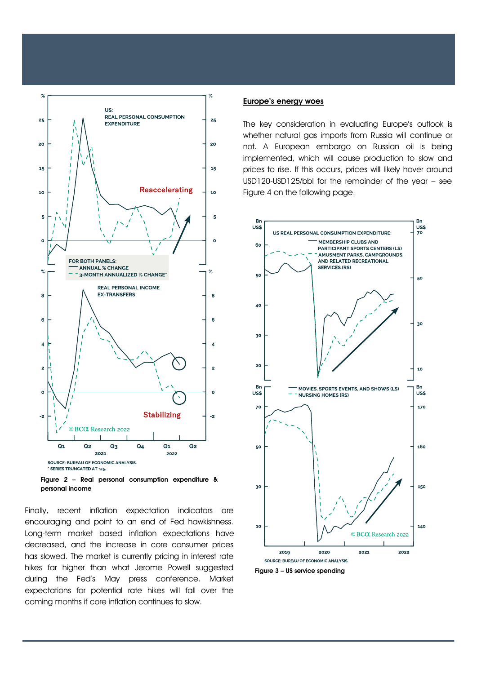

Figure 2 – Real personal consumption expenditure & personal income

Finally, recent inflation expectation indicators are encouraging and point to an end of Fed hawkishness. Long-term market based inflation expectations have decreased, and the increase in core consumer prices has slowed. The market is currently pricing in interest rate hikes far higher than what Jerome Powell suggested during the Fed's May press conference. Market expectations for potential rate hikes will fall over the coming months if core inflation continues to slow.

### Europe's energy woes

The key consideration in evaluating Europe's outlook is whether natural gas imports from Russia will continue or not. A European embargo on Russian oil is being implemented, which will cause production to slow and prices to rise. If this occurs, prices will likely hover around USD120-USD125/bbl for the remainder of the year – see Figure 4 on the following page.



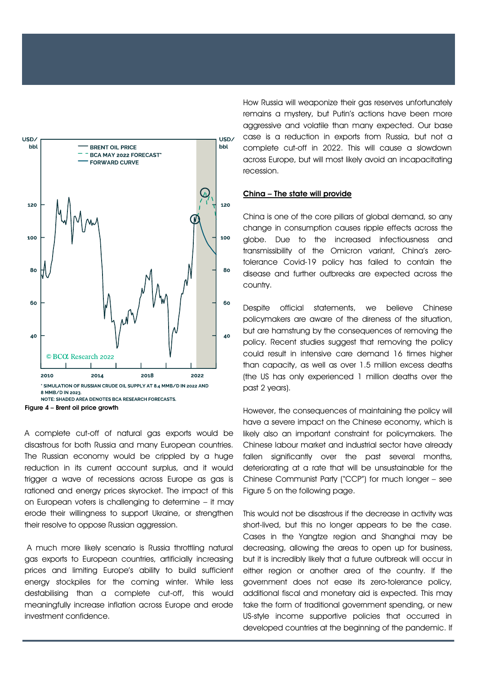

Figure 4 – Brent oil price growth

trigger a wave of recessions across Europe as gas is A complete cut-off of natural gas exports would be disastrous for both Russia and many European countries. The Russian economy would be crippled by a huge reduction in its current account surplus, and it would rationed and energy prices skyrocket. The impact of this on European voters is challenging to determine – it may erode their willingness to support Ukraine, or strengthen their resolve to oppose Russian aggression.

A much more likely scenario is Russia throttling natural gas exports to European countries, artificially increasing prices and limiting Europe's ability to build sufficient energy stockpiles for the coming winter. While less destabilising than a complete cut-off, this would meaningfully increase inflation across Europe and erode investment confidence.

How Russia will weaponize their gas reserves unfortunately remains a mystery, but Putin's actions have been more aggressive and volatile than many expected. Our base case is a reduction in exports from Russia, but not a complete cut-off in 2022. This will cause a slowdown across Europe, but will most likely avoid an incapacitating recession.

#### China – The state will provide

China is one of the core pillars of global demand, so any change in consumption causes ripple effects across the globe. Due to the increased infectiousness and transmissibility of the Omicron variant, China's zerotolerance Covid-19 policy has failed to contain the disease and further outbreaks are expected across the country.

Despite official statements, we believe Chinese policymakers are aware of the direness of the situation, but are hamstrung by the consequences of removing the policy. Recent studies suggest that removing the policy could result in intensive care demand 16 times higher than capacity, as well as over 1.5 million excess deaths (the US has only experienced 1 million deaths over the past 2 years).

However, the consequences of maintaining the policy will have a severe impact on the Chinese economy, which is likely also an important constraint for policymakers. The Chinese labour market and industrial sector have already fallen significantly over the past several months, deteriorating at a rate that will be unsustainable for the Chinese Communist Party ("CCP") for much longer – see Figure 5 on the following page.

This would not be disastrous if the decrease in activity was short-lived, but this no longer appears to be the case. Cases in the Yangtze region and Shanghai may be decreasing, allowing the areas to open up for business, but it is incredibly likely that a future outbreak will occur in either region or another area of the country. If the government does not ease its zero-tolerance policy, additional fiscal and monetary aid is expected. This may take the form of traditional government spending, or new US-style income supportive policies that occurred in developed countries at the beginning of the pandemic. If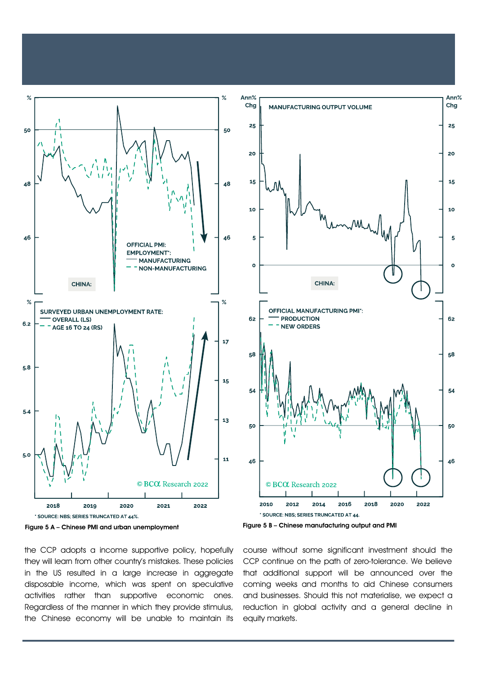



the CCP adopts a income supportive policy, hopefully they will learn from other country's mistakes. These policies in the US resulted in a large increase in aggregate disposable income, which was spent on speculative activities rather than supportive economic ones. Regardless of the manner in which they provide stimulus, the Chinese economy will be unable to maintain its



Figure 5 B – Chinese manufacturing output and PMI

course without some significant investment should the CCP continue on the path of zero-tolerance. We believe that additional support will be announced over the coming weeks and months to aid Chinese consumers and businesses. Should this not materialise, we expect a reduction in global activity and a general decline in equity markets.